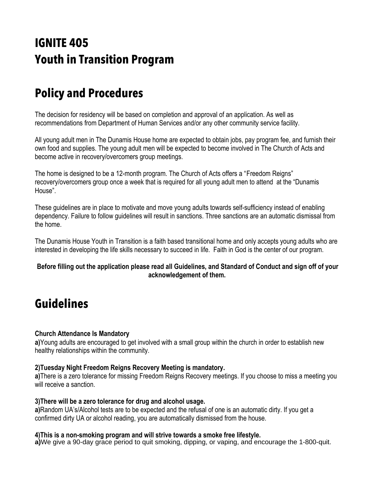# **IGNITE 405 Youth in Transition Program**

# **Policy and Procedures**

The decision for residency will be based on completion and approval of an application. As well as recommendations from Department of Human Services and/or any other community service facility.

All young adult men in The Dunamis House home are expected to obtain jobs, pay program fee, and furnish their own food and supplies. The young adult men will be expected to become involved in The Church of Acts and become active in recovery/overcomers group meetings.

The home is designed to be a 12-month program. The Church of Acts offers a "Freedom Reigns" recovery/overcomers group once a week that is required for all young adult men to attend at the "Dunamis House".

These guidelines are in place to motivate and move young adults towards self-sufficiency instead of enabling dependency. Failure to follow guidelines will result in sanctions. Three sanctions are an automatic dismissal from the home.

The Dunamis House Youth in Transition is a faith based transitional home and only accepts young adults who are interested in developing the life skills necessary to succeed in life. Faith in God is the center of our program.

#### **Before filling out the application please read all Guidelines, and Standard of Conduct and sign off of your acknowledgement of them.**

# **Guidelines**

### **Church Attendance Is Mandatory**

**a)**Young adults are encouraged to get involved with a small group within the church in order to establish new healthy relationships within the community.

#### **2)Tuesday Night Freedom Reigns Recovery Meeting is mandatory.**

**a)**There is a zero tolerance for missing Freedom Reigns Recovery meetings. If you choose to miss a meeting you will receive a sanction.

#### **3)There will be a zero tolerance for drug and alcohol usage.**

**a)**Random UA's/Alcohol tests are to be expected and the refusal of one is an automatic dirty. If you get a confirmed dirty UA or alcohol reading, you are automatically dismissed from the house.

#### **4)This is a non-smoking program and will strive towards a smoke free lifestyle.**

**a)**We give a 90-day grace period to quit smoking, dipping, or vaping, and encourage the 1-800-quit.